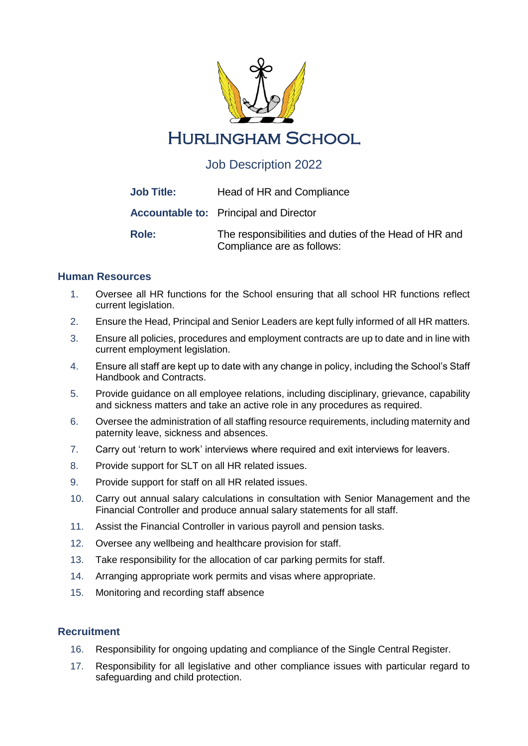

# Job Description 2022

| <b>Job Title:</b> | Head of HR and Compliance                                                           |
|-------------------|-------------------------------------------------------------------------------------|
|                   | <b>Accountable to:</b> Principal and Director                                       |
| Role:             | The responsibilities and duties of the Head of HR and<br>Compliance are as follows: |

## **Human Resources**

- 1. Oversee all HR functions for the School ensuring that all school HR functions reflect current legislation.
- 2. Ensure the Head, Principal and Senior Leaders are kept fully informed of all HR matters.
- 3. Ensure all policies, procedures and employment contracts are up to date and in line with current employment legislation.
- 4. Ensure all staff are kept up to date with any change in policy, including the School's Staff Handbook and Contracts.
- 5. Provide guidance on all employee relations, including disciplinary, grievance, capability and sickness matters and take an active role in any procedures as required.
- 6. Oversee the administration of all staffing resource requirements, including maternity and paternity leave, sickness and absences.
- 7. Carry out 'return to work' interviews where required and exit interviews for leavers.
- 8. Provide support for SLT on all HR related issues.
- 9. Provide support for staff on all HR related issues.
- 10. Carry out annual salary calculations in consultation with Senior Management and the Financial Controller and produce annual salary statements for all staff.
- 11. Assist the Financial Controller in various payroll and pension tasks.
- 12. Oversee any wellbeing and healthcare provision for staff.
- 13. Take responsibility for the allocation of car parking permits for staff.
- 14. Arranging appropriate work permits and visas where appropriate.
- 15. Monitoring and recording staff absence

### **Recruitment**

- 16. Responsibility for ongoing updating and compliance of the Single Central Register.
- 17. Responsibility for all legislative and other compliance issues with particular regard to safeguarding and child protection.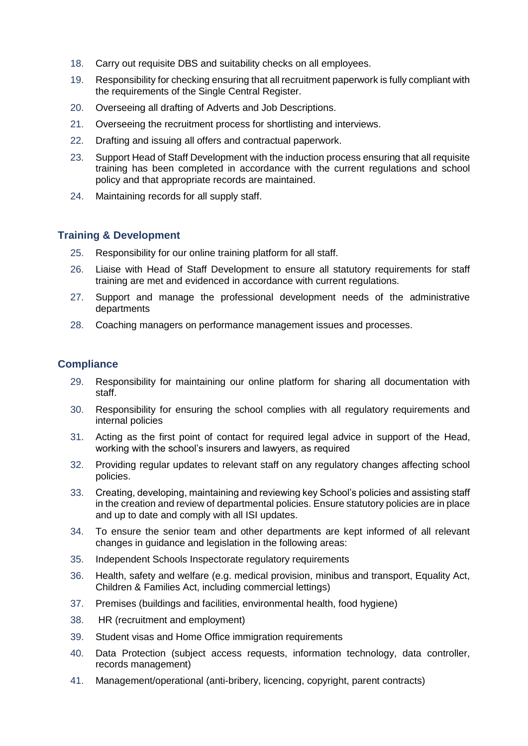- 18. Carry out requisite DBS and suitability checks on all employees.
- 19. Responsibility for checking ensuring that all recruitment paperwork is fully compliant with the requirements of the Single Central Register.
- 20. Overseeing all drafting of Adverts and Job Descriptions.
- 21. Overseeing the recruitment process for shortlisting and interviews.
- 22. Drafting and issuing all offers and contractual paperwork.
- 23. Support Head of Staff Development with the induction process ensuring that all requisite training has been completed in accordance with the current regulations and school policy and that appropriate records are maintained.
- 24. Maintaining records for all supply staff.

#### **Training & Development**

- 25. Responsibility for our online training platform for all staff.
- 26. Liaise with Head of Staff Development to ensure all statutory requirements for staff training are met and evidenced in accordance with current regulations.
- 27. Support and manage the professional development needs of the administrative departments
- 28. Coaching managers on performance management issues and processes.

#### **Compliance**

- 29. Responsibility for maintaining our online platform for sharing all documentation with staff.
- 30. Responsibility for ensuring the school complies with all regulatory requirements and internal policies
- 31. Acting as the first point of contact for required legal advice in support of the Head, working with the school's insurers and lawyers, as required
- 32. Providing regular updates to relevant staff on any regulatory changes affecting school policies.
- 33. Creating, developing, maintaining and reviewing key School's policies and assisting staff in the creation and review of departmental policies. Ensure statutory policies are in place and up to date and comply with all ISI updates.
- 34. To ensure the senior team and other departments are kept informed of all relevant changes in guidance and legislation in the following areas:
- 35. Independent Schools Inspectorate regulatory requirements
- 36. Health, safety and welfare (e.g. medical provision, minibus and transport, Equality Act, Children & Families Act, including commercial lettings)
- 37. Premises (buildings and facilities, environmental health, food hygiene)
- 38. HR (recruitment and employment)
- 39. Student visas and Home Office immigration requirements
- 40. Data Protection (subject access requests, information technology, data controller, records management)
- 41. Management/operational (anti-bribery, licencing, copyright, parent contracts)